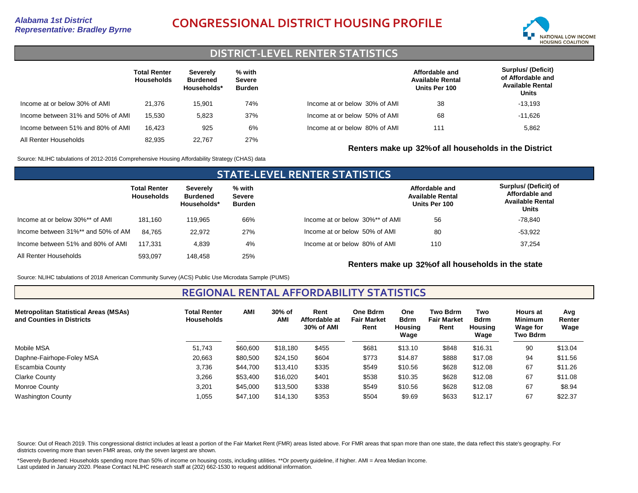# *Representative: Bradley Byrne* **CONGRESSIONAL DISTRICT HOUSING PROFILE**



### **DISTRICT-LEVEL RENTER STATISTICS**

|                                   | <b>Total Renter</b><br><b>Households</b> | Severely<br><b>Burdened</b><br>Households* | % with<br><b>Severe</b><br><b>Burden</b> |                               | Affordable and<br><b>Available Rental</b><br>Units Per 100 | <b>Surplus/ (Deficit)</b><br>of Affordable and<br><b>Available Rental</b><br>Units |
|-----------------------------------|------------------------------------------|--------------------------------------------|------------------------------------------|-------------------------------|------------------------------------------------------------|------------------------------------------------------------------------------------|
| Income at or below 30% of AMI     | 21.376                                   | 15.901                                     | 74%                                      | Income at or below 30% of AMI | 38                                                         | $-13.193$                                                                          |
| Income between 31% and 50% of AMI | 15.530                                   | 5.823                                      | 37%                                      | Income at or below 50% of AMI | 68                                                         | -11.626                                                                            |
| Income between 51% and 80% of AMI | 16.423                                   | 925                                        | 6%                                       | Income at or below 80% of AMI | 111                                                        | 5,862                                                                              |
| All Renter Households             | 82.935                                   | 22.767                                     | 27%                                      |                               |                                                            |                                                                                    |

Source: NLIHC tabulations of 2012-2016 Comprehensive Housing Affordability Strategy (CHAS) data

### **STATE-LEVEL RENTER STATISTICS Total Renter Households Severely Burdened Households\* % with Severe Burden** Income at or below 30%\*\* of AMI Income between 31%\*\* and 50% of AMI All Renter Households 181,160 84,765 593,097 119,965 22,972 148,458 66% 27% 25% Income between 51% and 80% of AMI 117,331 4,839 4% Income at or below 30%\*\* of AMI Income at or below 50% of AMI Income at or below 80% of AMI **Affordable and Available Rental Units Per 100 Surplus/ (Deficit) of Affordable and Available Rental Units** 56 110 80 37,254 -53,922 -78,840

**Renters make up 32%of all households in the state**

**Renters make up 32%of all households in the District**

Source: NLIHC tabulations of 2018 American Community Survey (ACS) Public Use Microdata Sample (PUMS)

**REGIONAL RENTAL AFFORDABILITY STATISTICS**

| <b>Metropolitan Statistical Areas (MSAs)</b><br>and Counties in Districts | <b>Total Renter</b><br><b>Households</b> | AMI      | 30% of<br><b>AMI</b> | Rent<br>Affordable at<br>30% of AMI | One Bdrm<br><b>Fair Market</b><br>Rent | One<br><b>Bdrm</b><br>Housing<br>Wage | <b>Two Bdrm</b><br><b>Fair Market</b><br>Rent | Two<br><b>Bdrm</b><br><b>Housing</b><br>Wage | <b>Hours at</b><br><b>Minimum</b><br><b>Wage for</b><br>Two Bdrm | Avg<br>Renter<br>Wage |
|---------------------------------------------------------------------------|------------------------------------------|----------|----------------------|-------------------------------------|----------------------------------------|---------------------------------------|-----------------------------------------------|----------------------------------------------|------------------------------------------------------------------|-----------------------|
| Mobile MSA                                                                | 51.743                                   | \$60,600 | \$18.180             | \$455                               | \$681                                  | \$13.10                               | \$848                                         | \$16.31                                      | 90                                                               | \$13.04               |
| Daphne-Fairhope-Foley MSA                                                 | 20,663                                   | \$80,500 | \$24,150             | \$604                               | \$773                                  | \$14.87                               | \$888                                         | \$17.08                                      | 94                                                               | \$11.56               |
| Escambia County                                                           | 3,736                                    | \$44,700 | \$13,410             | \$335                               | \$549                                  | \$10.56                               | \$628                                         | \$12.08                                      | 67                                                               | \$11.26               |
| Clarke County                                                             | 3,266                                    | \$53,400 | \$16,020             | \$401                               | \$538                                  | \$10.35                               | \$628                                         | \$12.08                                      | 67                                                               | \$11.08               |
| Monroe County                                                             | 3,201                                    | \$45,000 | \$13,500             | \$338                               | \$549                                  | \$10.56                               | \$628                                         | \$12.08                                      | 67                                                               | \$8.94                |
| <b>Washington County</b>                                                  | 1,055                                    | \$47,100 | \$14,130             | \$353                               | \$504                                  | \$9.69                                | \$633                                         | \$12.17                                      | 67                                                               | \$22.37               |

Source: Out of Reach 2019. This congressional district includes at least a portion of the Fair Market Rent (FMR) areas listed above. For FMR areas that span more than one state, the data reflect this state's geography. For districts covering more than seven FMR areas, only the seven largest are shown.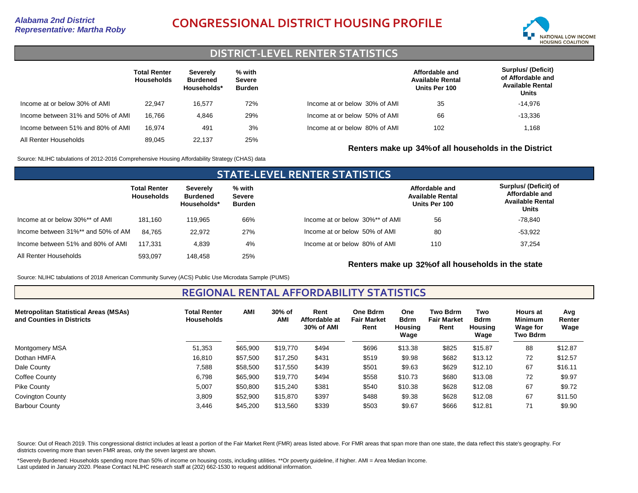# *Representative: Martha Roby* **CONGRESSIONAL DISTRICT HOUSING PROFILE**



## **DISTRICT-LEVEL RENTER STATISTICS**

|                                   | <b>Total Renter</b><br><b>Households</b> | Severely<br>Burdened<br>Households* | % with<br>Severe<br><b>Burden</b> |                               | Affordable and<br><b>Available Rental</b><br>Units Per 100 | <b>Surplus/ (Deficit)</b><br>of Affordable and<br><b>Available Rental</b><br>Units |
|-----------------------------------|------------------------------------------|-------------------------------------|-----------------------------------|-------------------------------|------------------------------------------------------------|------------------------------------------------------------------------------------|
| Income at or below 30% of AMI     | 22.947                                   | 16,577                              | 72%                               | Income at or below 30% of AMI | 35                                                         | $-14.976$                                                                          |
| Income between 31% and 50% of AMI | 16.766                                   | 4.846                               | 29%                               | Income at or below 50% of AMI | 66                                                         | $-13,336$                                                                          |
| Income between 51% and 80% of AMI | 16.974                                   | 491                                 | 3%                                | Income at or below 80% of AMI | 102                                                        | 1,168                                                                              |
| All Renter Households             | 89.045                                   | 22.137                              | 25%                               |                               | Renters make up 34% of all households in the District      |                                                                                    |

Source: NLIHC tabulations of 2012-2016 Comprehensive Housing Affordability Strategy (CHAS) data

### **STATE-LEVEL RENTER STATISTICS Total Renter Households Severely Burdened Households\* % with Severe Burden** Income at or below 30%\*\* of AMI Income between 31%\*\* and 50% of AMI All Renter Households 181,160 84,765 593,097 119,965 22,972 148,458 66% 27% 25% Income between 51% and 80% of AMI 117,331 4,839 4% Income at or below 30%\*\* of AMI Income at or below 50% of AMI Income at or below 80% of AMI **Affordable and Available Rental Units Per 100 Surplus/ (Deficit) of Affordable and Available Rental Units** 56 110 80 37,254 -53,922 -78,840

**Renters make up 32%of all households in the state**

Source: NLIHC tabulations of 2018 American Community Survey (ACS) Public Use Microdata Sample (PUMS)

### **REGIONAL RENTAL AFFORDABILITY STATISTICS**

| <b>Metropolitan Statistical Areas (MSAs)</b><br>and Counties in Districts | <b>Total Renter</b><br><b>Households</b> | <b>AMI</b> | 30% of<br>AMI | Rent<br>Affordable at<br>30% of AMI | <b>One Bdrm</b><br><b>Fair Market</b><br>Rent | <b>One</b><br><b>Bdrm</b><br>Housing<br>Wage | <b>Two Bdrm</b><br><b>Fair Market</b><br>Rent | Two<br><b>Bdrm</b><br><b>Housing</b><br>Wage | <b>Hours at</b><br><b>Minimum</b><br><b>Wage for</b><br>Two Bdrm | Avg<br>Renter<br>Wage |
|---------------------------------------------------------------------------|------------------------------------------|------------|---------------|-------------------------------------|-----------------------------------------------|----------------------------------------------|-----------------------------------------------|----------------------------------------------|------------------------------------------------------------------|-----------------------|
| Montgomery MSA                                                            | 51,353                                   | \$65,900   | \$19,770      | \$494                               | \$696                                         | \$13.38                                      | \$825                                         | \$15.87                                      | 88                                                               | \$12.87               |
| Dothan HMFA                                                               | 16,810                                   | \$57,500   | \$17,250      | \$431                               | \$519                                         | \$9.98                                       | \$682                                         | \$13.12                                      | 72                                                               | \$12.57               |
| Dale County                                                               | 7,588                                    | \$58,500   | \$17,550      | \$439                               | \$501                                         | \$9.63                                       | \$629                                         | \$12.10                                      | 67                                                               | \$16.11               |
| Coffee County                                                             | 6,798                                    | \$65,900   | \$19,770      | \$494                               | \$558                                         | \$10.73                                      | \$680                                         | \$13.08                                      | 72                                                               | \$9.97                |
| Pike County                                                               | 5,007                                    | \$50,800   | \$15,240      | \$381                               | \$540                                         | \$10.38                                      | \$628                                         | \$12.08                                      | 67                                                               | \$9.72                |
| <b>Covington County</b>                                                   | 3,809                                    | \$52,900   | \$15,870      | \$397                               | \$488                                         | \$9.38                                       | \$628                                         | \$12.08                                      | 67                                                               | \$11.50               |
| <b>Barbour County</b>                                                     | 3,446                                    | \$45,200   | \$13,560      | \$339                               | \$503                                         | \$9.67                                       | \$666                                         | \$12.81                                      | 71                                                               | \$9.90                |

Source: Out of Reach 2019. This congressional district includes at least a portion of the Fair Market Rent (FMR) areas listed above. For FMR areas that span more than one state, the data reflect this state's geography. For districts covering more than seven FMR areas, only the seven largest are shown.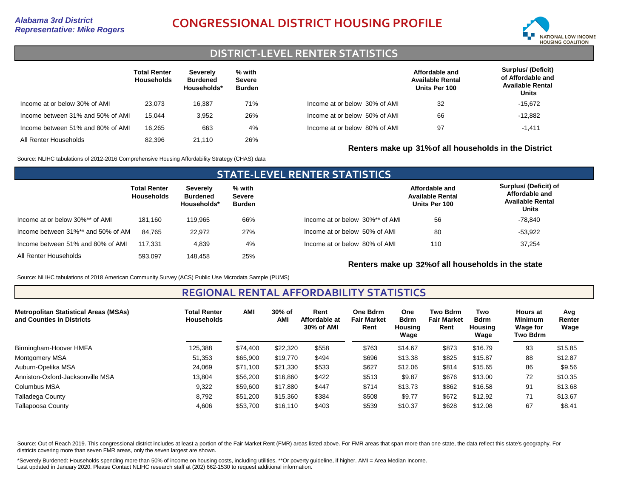# *Representative: Mike Rogers* **CONGRESSIONAL DISTRICT HOUSING PROFILE**



## **DISTRICT-LEVEL RENTER STATISTICS**

|                                   | <b>Total Renter</b><br><b>Households</b> | Severely<br><b>Burdened</b><br>Households* | % with<br><b>Severe</b><br><b>Burden</b> |                               | Affordable and<br><b>Available Rental</b><br>Units Per 100 | Surplus/ (Deficit)<br>of Affordable and<br><b>Available Rental</b><br>Units |
|-----------------------------------|------------------------------------------|--------------------------------------------|------------------------------------------|-------------------------------|------------------------------------------------------------|-----------------------------------------------------------------------------|
| Income at or below 30% of AMI     | 23.073                                   | 16.387                                     | 71%                                      | Income at or below 30% of AMI | 32                                                         | $-15.672$                                                                   |
| Income between 31% and 50% of AMI | 15.044                                   | 3.952                                      | 26%                                      | Income at or below 50% of AMI | 66                                                         | $-12.882$                                                                   |
| Income between 51% and 80% of AMI | 16.265                                   | 663                                        | 4%                                       | Income at or below 80% of AMI | 97                                                         | $-1.411$                                                                    |
| All Renter Households             | 82.396                                   | 21.110                                     | 26%                                      |                               |                                                            |                                                                             |

Source: NLIHC tabulations of 2012-2016 Comprehensive Housing Affordability Strategy (CHAS) data

### **STATE-LEVEL RENTER STATISTICS Total Renter Households Severely Burdened Households\* % with Severe Burden** Income at or below 30%\*\* of AMI Income between 31%\*\* and 50% of AMI All Renter Households 181,160 84,765 593,097 119,965 22,972 148,458 66% 27% 25% Income between 51% and 80% of AMI 117,331 4,839 4% Income at or below 30%\*\* of AMI Income at or below 50% of AMI Income at or below 80% of AMI **Affordable and Available Rental Units Per 100 Surplus/ (Deficit) of Affordable and Available Rental Units** 56 110 80 37,254 -53,922 -78,840

**Renters make up 32%of all households in the state**

**Renters make up 31%of all households in the District**

Source: NLIHC tabulations of 2018 American Community Survey (ACS) Public Use Microdata Sample (PUMS)

**REGIONAL RENTAL AFFORDABILITY STATISTICS**

| <b>Metropolitan Statistical Areas (MSAs)</b><br>and Counties in Districts | Total Renter<br><b>Households</b> | <b>AMI</b> | 30% of<br>AMI | Rent<br>Affordable at<br>30% of AMI | <b>One Bdrm</b><br><b>Fair Market</b><br>Rent | One<br><b>Bdrm</b><br>Housing<br>Wage | <b>Two Bdrm</b><br><b>Fair Market</b><br>Rent | Two<br><b>Bdrm</b><br><b>Housing</b><br>Wage | <b>Hours at</b><br><b>Minimum</b><br>Wage for<br>Two Bdrm | Avg<br>Renter<br>Wage |
|---------------------------------------------------------------------------|-----------------------------------|------------|---------------|-------------------------------------|-----------------------------------------------|---------------------------------------|-----------------------------------------------|----------------------------------------------|-----------------------------------------------------------|-----------------------|
| Birmingham-Hoover HMFA                                                    | 125.388                           | \$74,400   | \$22,320      | \$558                               | \$763                                         | \$14.67                               | \$873                                         | \$16.79                                      | 93                                                        | \$15.85               |
| <b>Montgomery MSA</b>                                                     | 51,353                            | \$65,900   | \$19,770      | \$494                               | \$696                                         | \$13.38                               | \$825                                         | \$15.87                                      | 88                                                        | \$12.87               |
| Auburn-Opelika MSA                                                        | 24,069                            | \$71,100   | \$21,330      | \$533                               | \$627                                         | \$12.06                               | \$814                                         | \$15.65                                      | 86                                                        | \$9.56                |
| Anniston-Oxford-Jacksonville MSA                                          | 13,804                            | \$56,200   | \$16,860      | \$422                               | \$513                                         | \$9.87                                | \$676                                         | \$13.00                                      | 72                                                        | \$10.35               |
| Columbus MSA                                                              | 9,322                             | \$59,600   | \$17,880      | \$447                               | \$714                                         | \$13.73                               | \$862                                         | \$16.58                                      | 91                                                        | \$13.68               |
| Talladega County                                                          | 8,792                             | \$51,200   | \$15,360      | \$384                               | \$508                                         | \$9.77                                | \$672                                         | \$12.92                                      | 71                                                        | \$13.67               |
| <b>Tallapoosa County</b>                                                  | 4,606                             | \$53,700   | \$16,110      | \$403                               | \$539                                         | \$10.37                               | \$628                                         | \$12.08                                      | 67                                                        | \$8.41                |

Source: Out of Reach 2019. This congressional district includes at least a portion of the Fair Market Rent (FMR) areas listed above. For FMR areas that span more than one state, the data reflect this state's geography. For districts covering more than seven FMR areas, only the seven largest are shown.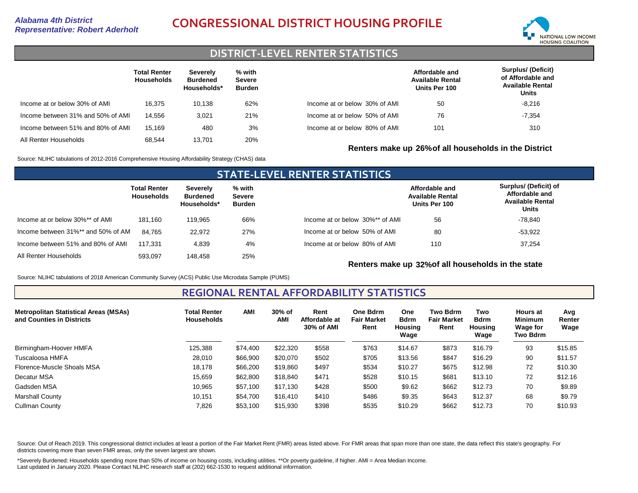

## **DISTRICT-LEVEL RENTER STATISTICS**

|                                   | <b>Total Renter</b><br><b>Households</b> | Severely<br><b>Burdened</b><br>Households* | % with<br><b>Severe</b><br>Burden |                               | Affordable and<br><b>Available Rental</b><br>Units Per 100 | <b>Surplus/ (Deficit)</b><br>of Affordable and<br><b>Available Rental</b><br>Units |
|-----------------------------------|------------------------------------------|--------------------------------------------|-----------------------------------|-------------------------------|------------------------------------------------------------|------------------------------------------------------------------------------------|
| Income at or below 30% of AMI     | 16.375                                   | 10.138                                     | 62%                               | Income at or below 30% of AMI | 50                                                         | $-8,216$                                                                           |
| Income between 31% and 50% of AMI | 14.556                                   | 3,021                                      | 21%                               | Income at or below 50% of AMI | 76                                                         | $-7,354$                                                                           |
| Income between 51% and 80% of AMI | 15.169                                   | 480                                        | 3%                                | Income at or below 80% of AMI | 101                                                        | 310                                                                                |
| All Renter Households             | 68.544                                   | 13.701                                     | 20%                               |                               |                                                            |                                                                                    |

Source: NLIHC tabulations of 2012-2016 Comprehensive Housing Affordability Strategy (CHAS) data

### **STATE-LEVEL RENTER STATISTICS Total Renter Households Severely Burdened Households\* % with Severe Burden** Income at or below 30%\*\* of AMI Income between 31%\*\* and 50% of AMI All Renter Households 181,160 84,765 593,097 119,965 22,972 148,458 66% 27% 25% Income between 51% and 80% of AMI 117,331 4,839 4% Income at or below 30%\*\* of AMI Income at or below 50% of AMI Income at or below 80% of AMI **Affordable and Available Rental Units Per 100 Surplus/ (Deficit) of Affordable and Available Rental Units** 56 110 80 37,254 -53,922 -78,840

**Renters make up 32%of all households in the state**

**Renters make up 26%of all households in the District**

Source: NLIHC tabulations of 2018 American Community Survey (ACS) Public Use Microdata Sample (PUMS)

**REGIONAL RENTAL AFFORDABILITY STATISTICS**

| <b>Metropolitan Statistical Areas (MSAs)</b><br>and Counties in Districts | <b>Total Renter</b><br><b>Households</b> | AMI      | 30% of<br>AMI | Rent<br>Affordable at<br>30% of AMI | One Bdrm<br><b>Fair Market</b><br>Rent | One<br><b>Bdrm</b><br><b>Housing</b><br>Wage | <b>Two Bdrm</b><br><b>Fair Market</b><br>Rent | Two<br><b>Bdrm</b><br>Housing<br>Wage | <b>Hours at</b><br><b>Minimum</b><br>Wage for<br>Two Bdrm | Avg<br>Renter<br>Wage |
|---------------------------------------------------------------------------|------------------------------------------|----------|---------------|-------------------------------------|----------------------------------------|----------------------------------------------|-----------------------------------------------|---------------------------------------|-----------------------------------------------------------|-----------------------|
| Birmingham-Hoover HMFA                                                    | 125,388                                  | \$74,400 | \$22,320      | \$558                               | \$763                                  | \$14.67                                      | \$873                                         | \$16.79                               | 93                                                        | \$15.85               |
| Tuscaloosa HMFA                                                           | 28,010                                   | \$66,900 | \$20,070      | \$502                               | \$705                                  | \$13.56                                      | \$847                                         | \$16.29                               | 90                                                        | \$11.57               |
| Florence-Muscle Shoals MSA                                                | 18,178                                   | \$66,200 | \$19,860      | \$497                               | \$534                                  | \$10.27                                      | \$675                                         | \$12.98                               | 72                                                        | \$10.30               |
| Decatur MSA                                                               | 15.659                                   | \$62,800 | \$18,840      | \$471                               | \$528                                  | \$10.15                                      | \$681                                         | \$13.10                               | 72                                                        | \$12.16               |
| Gadsden MSA                                                               | 10,965                                   | \$57,100 | \$17.130      | \$428                               | \$500                                  | \$9.62                                       | \$662                                         | \$12.73                               | 70                                                        | \$9.89                |
| <b>Marshall County</b>                                                    | 10.151                                   | \$54.700 | \$16,410      | \$410                               | \$486                                  | \$9.35                                       | \$643                                         | \$12.37                               | 68                                                        | \$9.79                |
| <b>Cullman County</b>                                                     | 7,826                                    | \$53,100 | \$15,930      | \$398                               | \$535                                  | \$10.29                                      | \$662                                         | \$12.73                               | 70                                                        | \$10.93               |

Source: Out of Reach 2019. This congressional district includes at least a portion of the Fair Market Rent (FMR) areas listed above. For FMR areas that span more than one state, the data reflect this state's geography. For districts covering more than seven FMR areas, only the seven largest are shown.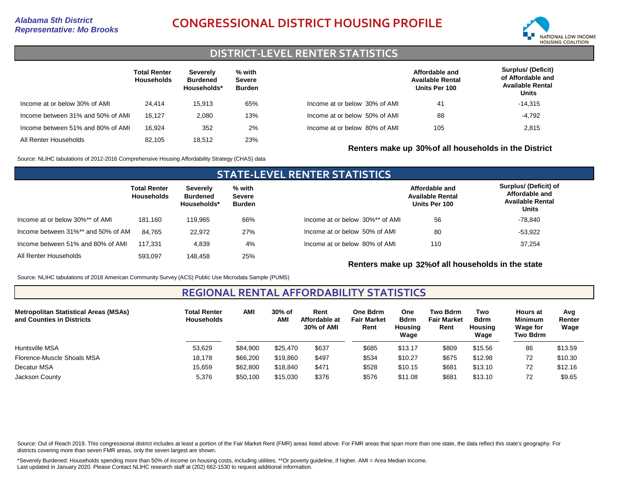# *Representative: Mo Brooks* **CONGRESSIONAL DISTRICT HOUSING PROFILE**



### **DISTRICT-LEVEL RENTER STATISTICS**

|                                   | <b>Total Renter</b><br><b>Households</b> | Severely<br><b>Burdened</b><br>Households* | % with<br><b>Severe</b><br><b>Burden</b> |                               | Affordable and<br><b>Available Rental</b><br>Units Per 100 | <b>Surplus/ (Deficit)</b><br>of Affordable and<br><b>Available Rental</b><br>Units |
|-----------------------------------|------------------------------------------|--------------------------------------------|------------------------------------------|-------------------------------|------------------------------------------------------------|------------------------------------------------------------------------------------|
| Income at or below 30% of AMI     | 24.414                                   | 15.913                                     | 65%                                      | Income at or below 30% of AMI | 41                                                         | -14,315                                                                            |
| Income between 31% and 50% of AMI | 16.127                                   | 2.080                                      | 13%                                      | Income at or below 50% of AMI | 88                                                         | $-4,792$                                                                           |
| Income between 51% and 80% of AMI | 16.924                                   | 352                                        | 2%                                       | Income at or below 80% of AMI | 105                                                        | 2,815                                                                              |
| All Renter Households             | 82.105                                   | 18.512                                     | 23%                                      |                               | Renters make up 30% of all households in the District      |                                                                                    |

Source: NLIHC tabulations of 2012-2016 Comprehensive Housing Affordability Strategy (CHAS) data

### **STATE-LEVEL RENTER STATISTICS Total Renter Households Severely Burdened Households\* % with Severe Burden** Income at or below 30%\*\* of AMI Income between 31%\*\* and 50% of AMI All Renter Households 181,160 84,765 593,097 119,965 22,972 148,458 66% 27% 25% Income between 51% and 80% of AMI 117,331 4,839 4% Income at or below 30%\*\* of AMI Income at or below 50% of AMI Income at or below 80% of AMI **Affordable and Available Rental Units Per 100 Surplus/ (Deficit) of Affordable and Available Rental Units** 56 110 80 37,254 -53,922 -78,840

**Renters make up 32%of all households in the state**

Source: NLIHC tabulations of 2018 American Community Survey (ACS) Public Use Microdata Sample (PUMS)

### **REGIONAL RENTAL AFFORDABILITY STATISTICS**

| <b>Metropolitan Statistical Areas (MSAs)</b><br>and Counties in Districts | <b>Total Renter</b><br><b>Households</b> | AMI      | 30% of<br>AMI | Rent<br>Affordable at<br>30% of AMI | One Bdrm<br><b>Fair Market</b><br>Rent | One<br><b>Bdrm</b><br>Housing<br>Wage | <b>Two Bdrm</b><br><b>Fair Market</b><br>Rent | Two<br><b>Bdrm</b><br>Housing<br>Wage | <b>Hours at</b><br><b>Minimum</b><br><b>Wage for</b><br>Two Bdrm | Avg<br>Renter<br>Wage |
|---------------------------------------------------------------------------|------------------------------------------|----------|---------------|-------------------------------------|----------------------------------------|---------------------------------------|-----------------------------------------------|---------------------------------------|------------------------------------------------------------------|-----------------------|
| Huntsville MSA                                                            | 53,629                                   | \$84,900 | \$25,470      | \$637                               | \$685                                  | \$13.17                               | \$809                                         | \$15.56                               | 86                                                               | \$13.59               |
| Florence-Muscle Shoals MSA                                                | 18,178                                   | \$66,200 | \$19,860      | \$497                               | \$534                                  | \$10.27                               | \$675                                         | \$12.98                               | 72                                                               | \$10.30               |
| Decatur MSA                                                               | 15,659                                   | \$62,800 | \$18,840      | \$471                               | \$528                                  | \$10.15                               | \$681                                         | \$13.10                               | 72                                                               | \$12.16               |
| Jackson County                                                            | 5,376                                    | \$50,100 | \$15,030      | \$376                               | \$576                                  | \$11.08                               | \$681                                         | \$13.10                               | 72                                                               | \$9.65                |

Source: Out of Reach 2019. This congressional district includes at least a portion of the Fair Market Rent (FMR) areas listed above. For FMR areas that span more than one state, the data reflect this state's geography. For districts covering more than seven FMR areas, only the seven largest are shown.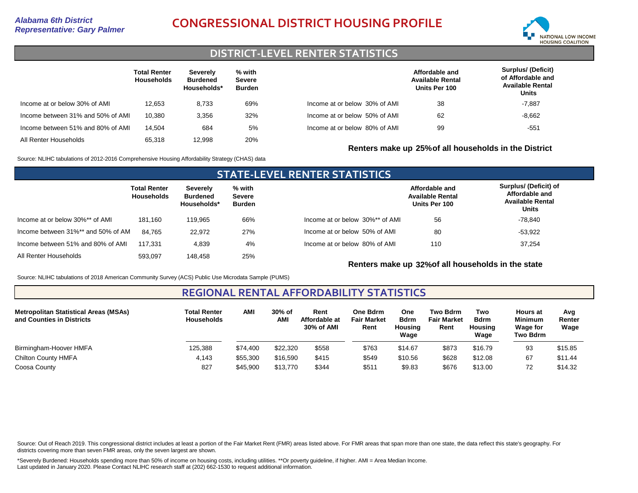# *Representative: Gary Palmer* **CONGRESSIONAL DISTRICT HOUSING PROFILE**



## **DISTRICT-LEVEL RENTER STATISTICS**

|                                   | <b>Total Renter</b><br><b>Households</b> | Severely<br><b>Burdened</b><br>Households* | % with<br>Severe<br><b>Burden</b> |                               | Affordable and<br><b>Available Rental</b><br>Units Per 100 | <b>Surplus/ (Deficit)</b><br>of Affordable and<br><b>Available Rental</b><br>Units |
|-----------------------------------|------------------------------------------|--------------------------------------------|-----------------------------------|-------------------------------|------------------------------------------------------------|------------------------------------------------------------------------------------|
| Income at or below 30% of AMI     | 12.653                                   | 8.733                                      | 69%                               | Income at or below 30% of AMI | 38                                                         | $-7.887$                                                                           |
| Income between 31% and 50% of AMI | 10.380                                   | 3.356                                      | 32%                               | Income at or below 50% of AMI | 62                                                         | $-8,662$                                                                           |
| Income between 51% and 80% of AMI | 14.504                                   | 684                                        | 5%                                | Income at or below 80% of AMI | 99                                                         | $-551$                                                                             |
| All Renter Households             | 65.318                                   | 12.998                                     | 20%                               |                               | Renters make up 25% of all households in the District      |                                                                                    |

Source: NLIHC tabulations of 2012-2016 Comprehensive Housing Affordability Strategy (CHAS) data

### **STATE-LEVEL RENTER STATISTICS Total Renter Households Severely Burdened Households\* % with Severe Burden** Income at or below 30%\*\* of AMI Income between 31%\*\* and 50% of AMI All Renter Households 181,160 84,765 593,097 119,965 22,972 148,458 66% 27% 25% Income between 51% and 80% of AMI 117,331 4,839 4% Income at or below 30%\*\* of AMI Income at or below 50% of AMI Income at or below 80% of AMI **Affordable and Available Rental Units Per 100 Surplus/ (Deficit) of Affordable and Available Rental Units** 56 110 80 37,254 -53,922 -78,840

**Renters make up 32%of all households in the state**

Source: NLIHC tabulations of 2018 American Community Survey (ACS) Public Use Microdata Sample (PUMS)

### **REGIONAL RENTAL AFFORDABILITY STATISTICS**

| <b>Metropolitan Statistical Areas (MSAs)</b><br>and Counties in Districts | <b>Total Renter</b><br><b>Households</b> | <b>AMI</b> | 30% of<br><b>AM</b> | Rent<br>Affordable at<br>30% of AMI | One Bdrm<br><b>Fair Market</b><br>Rent | One<br><b>Bdrm</b><br>Housing<br>Wage | <b>Two Bdrm</b><br><b>Fair Market</b><br>Rent | Two<br><b>Bdrm</b><br>Housing<br>Wage | <b>Hours at</b><br><b>Minimum</b><br><b>Wage for</b><br><b>Two Bdrm</b> | Avg<br>Renter<br>Wage |
|---------------------------------------------------------------------------|------------------------------------------|------------|---------------------|-------------------------------------|----------------------------------------|---------------------------------------|-----------------------------------------------|---------------------------------------|-------------------------------------------------------------------------|-----------------------|
| Birmingham-Hoover HMFA                                                    | 125,388                                  | \$74,400   | \$22,320            | \$558                               | \$763                                  | \$14.67                               | \$873                                         | \$16.79                               | 93                                                                      | \$15.85               |
| <b>Chilton County HMFA</b>                                                | 4,143                                    | \$55,300   | \$16,590            | \$415                               | \$549                                  | \$10.56                               | \$628                                         | \$12.08                               | 67                                                                      | \$11.44               |
| Coosa County                                                              | 827                                      | \$45,900   | \$13,770            | \$344                               | \$511                                  | \$9.83                                | \$676                                         | \$13.00                               | 72                                                                      | \$14.32               |

Source: Out of Reach 2019. This congressional district includes at least a portion of the Fair Market Rent (FMR) areas listed above. For FMR areas that span more than one state, the data reflect this state's geography. For districts covering more than seven FMR areas, only the seven largest are shown.